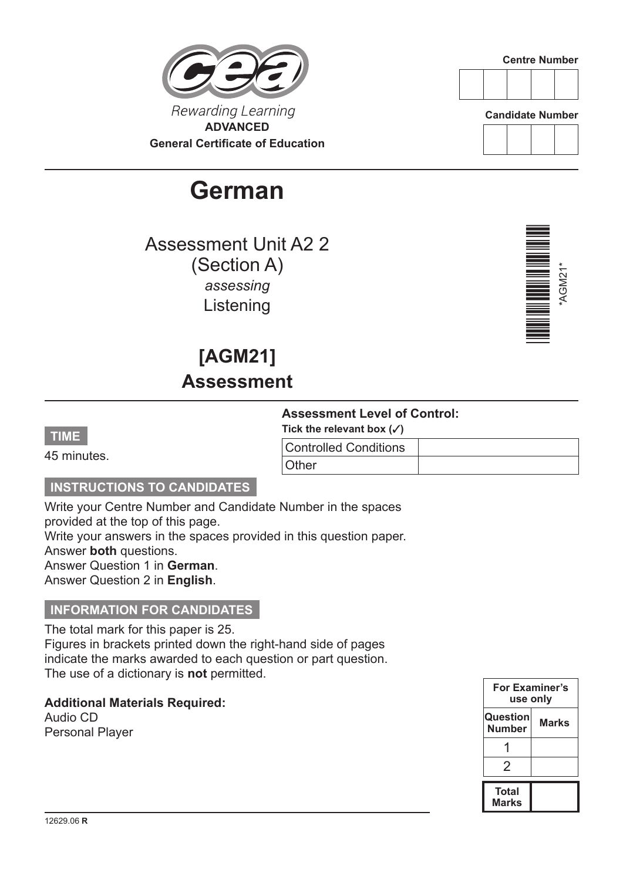### Rewarding Learning **ADVANCED General Certificate of Education**

# **German**

Assessment Unit A2 2 (Section A) *assessing* Listening

## **[AGM21] Assessment**

#### **Assessment Level of Control:**

**Tick the relevant box (**3**)**

| <b>Controlled Conditions</b> |  |
|------------------------------|--|
| Other                        |  |

#### **INSTRUCTIONS TO CANDIDATES**

Write your Centre Number and Candidate Number in the spaces provided at the top of this page. Write your answers in the spaces provided in this question paper.

Answer **both** questions.

**TIME**

45 minutes.

Answer Question 1 in **German**.

Answer Question 2 in **English**.

#### **INFORMATION FOR CANDIDATES**

The total mark for this paper is 25. Figures in brackets printed down the right-hand side of pages indicate the marks awarded to each question or part question. The use of a dictionary is **not** permitted.

**Additional Materials Required:**

Audio CD Personal Player











\*AGM21\*

\*AGM21\*



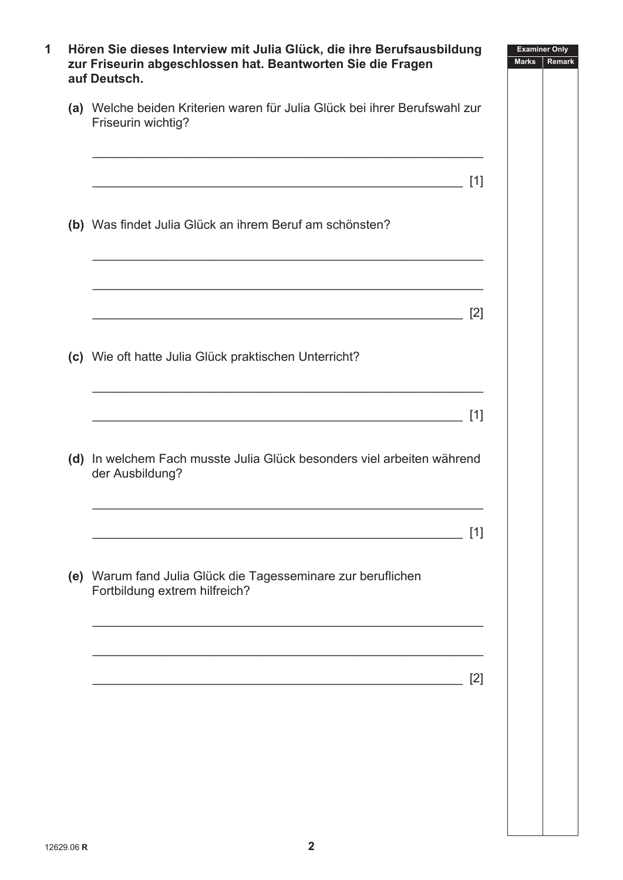| auf Deutsch.                                                                                     |  |
|--------------------------------------------------------------------------------------------------|--|
| (a) Welche beiden Kriterien waren für Julia Glück bei ihrer Berufswahl zur<br>Friseurin wichtig? |  |
| $[1]$                                                                                            |  |
| (b) Was findet Julia Glück an ihrem Beruf am schönsten?                                          |  |
| [2]                                                                                              |  |
| (c) Wie oft hatte Julia Glück praktischen Unterricht?                                            |  |
| $[1]$                                                                                            |  |
| (d) In welchem Fach musste Julia Glück besonders viel arbeiten während<br>der Ausbildung?        |  |
| [1]                                                                                              |  |
| (e) Warum fand Julia Glück die Tagesseminare zur beruflichen<br>Fortbildung extrem hilfreich?    |  |
| $[2]$                                                                                            |  |
|                                                                                                  |  |
|                                                                                                  |  |
|                                                                                                  |  |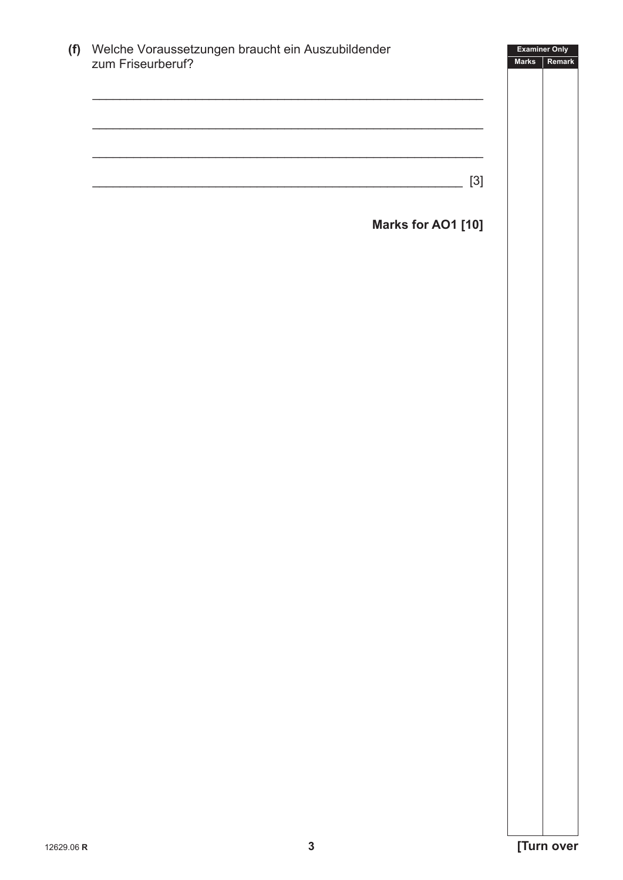| (f) Welche Voraussetzungen braucht ein Auszubildender<br>zum Friseurberuf? |                    | <b>Examiner Only</b><br><b>Marks</b> |
|----------------------------------------------------------------------------|--------------------|--------------------------------------|
|                                                                            |                    |                                      |
|                                                                            |                    |                                      |
|                                                                            |                    |                                      |
|                                                                            |                    |                                      |
|                                                                            |                    |                                      |
|                                                                            |                    | $[3]$                                |
|                                                                            |                    |                                      |
|                                                                            | Marks for AO1 [10] |                                      |
|                                                                            |                    |                                      |
|                                                                            |                    |                                      |
|                                                                            |                    |                                      |
|                                                                            |                    |                                      |
|                                                                            |                    |                                      |
|                                                                            |                    |                                      |
|                                                                            |                    |                                      |
|                                                                            |                    |                                      |
|                                                                            |                    |                                      |
|                                                                            |                    |                                      |
|                                                                            |                    |                                      |
|                                                                            |                    |                                      |
|                                                                            |                    |                                      |
|                                                                            |                    |                                      |
|                                                                            |                    |                                      |
|                                                                            |                    |                                      |
|                                                                            |                    |                                      |
|                                                                            |                    |                                      |
|                                                                            |                    |                                      |
|                                                                            |                    |                                      |
|                                                                            |                    |                                      |
|                                                                            |                    |                                      |
|                                                                            |                    |                                      |
|                                                                            |                    |                                      |
|                                                                            |                    |                                      |
|                                                                            |                    |                                      |
|                                                                            |                    |                                      |
|                                                                            |                    |                                      |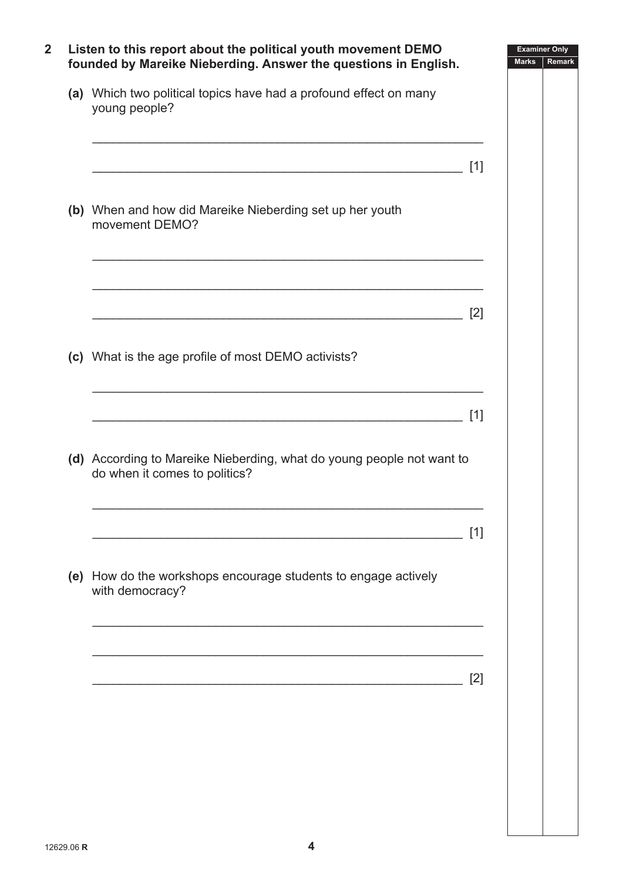| (a) Which two political topics have had a profound effect on many<br>young people?                     |       |  |
|--------------------------------------------------------------------------------------------------------|-------|--|
|                                                                                                        | $[1]$ |  |
| (b) When and how did Mareike Nieberding set up her youth<br>movement DEMO?                             |       |  |
|                                                                                                        | [2]   |  |
| (c) What is the age profile of most DEMO activists?                                                    |       |  |
|                                                                                                        | $[1]$ |  |
| (d) According to Mareike Nieberding, what do young people not want to<br>do when it comes to politics? |       |  |
|                                                                                                        | [1]   |  |
| (e) How do the workshops encourage students to engage actively<br>with democracy?                      |       |  |
|                                                                                                        |       |  |
|                                                                                                        | [2]   |  |
|                                                                                                        |       |  |
|                                                                                                        |       |  |
|                                                                                                        |       |  |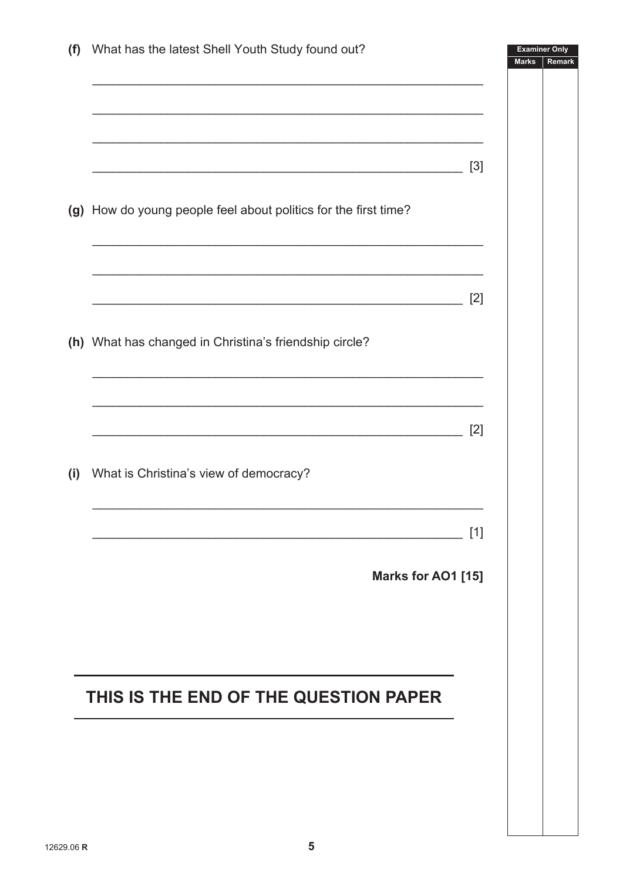| (f) | What has the latest Shell Youth Study found out?                | <b>Examiner Only</b><br><b>Marks</b> | Remark |
|-----|-----------------------------------------------------------------|--------------------------------------|--------|
|     |                                                                 |                                      |        |
|     |                                                                 |                                      |        |
|     |                                                                 |                                      |        |
|     | $[3]$                                                           |                                      |        |
|     |                                                                 |                                      |        |
|     | (g) How do young people feel about politics for the first time? |                                      |        |
|     |                                                                 |                                      |        |
|     |                                                                 |                                      |        |
|     | [2]                                                             |                                      |        |
|     | (h) What has changed in Christina's friendship circle?          |                                      |        |
|     |                                                                 |                                      |        |
|     |                                                                 |                                      |        |
|     |                                                                 |                                      |        |
|     | $[2]$                                                           |                                      |        |
| (i) | What is Christina's view of democracy?                          |                                      |        |
|     |                                                                 |                                      |        |
|     | $[1]$                                                           |                                      |        |
|     |                                                                 |                                      |        |
|     | Marks for AO1 [15]                                              |                                      |        |
|     |                                                                 |                                      |        |
|     |                                                                 |                                      |        |
|     |                                                                 |                                      |        |
|     | THIS IS THE END OF THE QUESTION PAPER                           |                                      |        |
|     |                                                                 |                                      |        |
|     |                                                                 |                                      |        |
|     |                                                                 |                                      |        |
|     |                                                                 |                                      |        |
|     |                                                                 |                                      |        |